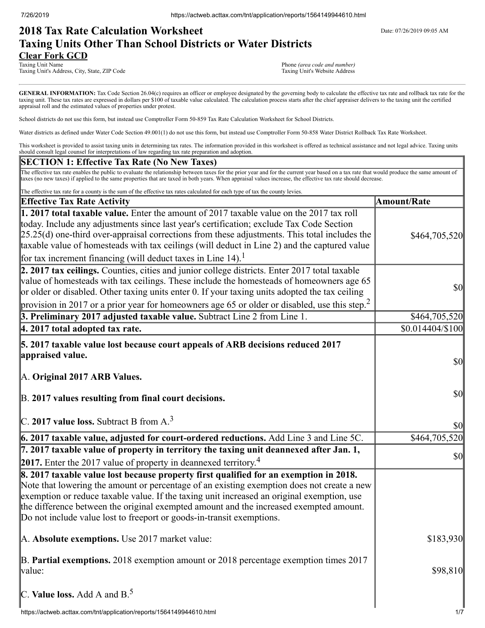# **2018 Tax Rate Calculation Worksheet** Determines the Date: 07/26/2019 09:05 AM **Taxing Units Other Than School Districts or Water Districts Clear Fork GCD**

Taxing Unit Name **Taxing Unit Name** Phone *(area code and number)*<br>
Taxing Unit's Address, City, State, ZIP Code **1996** (area code and number) **Phone** *(area code and number***)** Taxing Unit's Address, City, State, ZIP Code

GENERAL INFORMATION: Tax Code Section 26.04(c) requires an officer or employee designated by the governing body to calculate the effective tax rate and rollback tax rate for the taxing unit. These tax rates are expressed in dollars per \$100 of taxable value calculated. The calculation process starts after the chief appraiser delivers to the taxing unit the certified appraisal roll and the estimated values of properties under protest.

School districts do not use this form, but instead use Comptroller Form 50-859 Tax Rate Calculation Worksheet for School Districts.

Water districts as defined under Water Code Section 49.001(1) do not use this form, but instead use Comptroller Form 50-858 Water District Rollback Tax Rate Worksheet.

This worksheet is provided to assist taxing units in determining tax rates. The information provided in this worksheet is offered as technical assistance and not legal advice. Taxing units should consult legal counsel for interpretations of law regarding tax rate preparation and adoption.

### **SECTION 1: Effective Tax Rate (No New Taxes)**

The effective tax rate enables the public to evaluate the relationship between taxes for the prior year and for the current year based on a tax rate that would produce the same amount of taxes (no new taxes) if applied to the same properties that are taxed in both years. When appraisal values increase, the effective tax rate should decrease.

| The effective tax rate for a county is the sum of the effective tax rates calculated for each type of tax the county levies.                                                                                                                                                                                                                                                                                                                                         |                                                                            |
|----------------------------------------------------------------------------------------------------------------------------------------------------------------------------------------------------------------------------------------------------------------------------------------------------------------------------------------------------------------------------------------------------------------------------------------------------------------------|----------------------------------------------------------------------------|
| <b>Effective Tax Rate Activity</b>                                                                                                                                                                                                                                                                                                                                                                                                                                   | <b>Amount/Rate</b>                                                         |
| 1. 2017 total taxable value. Enter the amount of 2017 taxable value on the 2017 tax roll<br>today. Include any adjustments since last year's certification; exclude Tax Code Section<br>$[25.25(d)$ one-third over-appraisal corrections from these adjustments. This total includes the<br>taxable value of homesteads with tax ceilings (will deduct in Line 2) and the captured value<br>for tax increment financing (will deduct taxes in Line 14). <sup>1</sup> | \$464,705,520                                                              |
| 2. 2017 tax ceilings. Counties, cities and junior college districts. Enter 2017 total taxable<br>value of homesteads with tax ceilings. These include the homesteads of homeowners age 65<br>or older or disabled. Other taxing units enter 0. If your taxing units adopted the tax ceiling<br>provision in 2017 or a prior year for homeowners age 65 or older or disabled, use this step. <sup>2</sup>                                                             | $\frac{1}{2}$                                                              |
| 3. Preliminary 2017 adjusted taxable value. Subtract Line 2 from Line 1.                                                                                                                                                                                                                                                                                                                                                                                             | \$464,705,520                                                              |
| 4. 2017 total adopted tax rate.                                                                                                                                                                                                                                                                                                                                                                                                                                      | $$0.014404\%100$                                                           |
| 5. 2017 taxable value lost because court appeals of ARB decisions reduced 2017<br>appraised value.<br>A. Original 2017 ARB Values.<br>B. 2017 values resulting from final court decisions.                                                                                                                                                                                                                                                                           | $\vert \mathbf{S} \mathbf{O} \vert$<br>$\vert \mathbf{S} \mathbf{0} \vert$ |
| $C.$ 2017 value loss. Subtract B from A. <sup>3</sup>                                                                                                                                                                                                                                                                                                                                                                                                                | $\vert \mathbf{S} \mathbf{O} \vert$                                        |
| 6. 2017 taxable value, adjusted for court-ordered reductions. Add Line 3 and Line 5C.                                                                                                                                                                                                                                                                                                                                                                                | \$464,705,520                                                              |
| 7. 2017 taxable value of property in territory the taxing unit deannexed after Jan. 1,<br>2017. Enter the 2017 value of property in deannexed territory. <sup>4</sup>                                                                                                                                                                                                                                                                                                | $\vert \mathcal{S}0 \vert$                                                 |
| 8. 2017 taxable value lost because property first qualified for an exemption in 2018.<br>Note that lowering the amount or percentage of an existing exemption does not create a new<br>exemption or reduce taxable value. If the taxing unit increased an original exemption, use<br>the difference between the original exempted amount and the increased exempted amount.<br>Do not include value lost to freeport or goods-in-transit exemptions.                 |                                                                            |
| A. Absolute exemptions. Use 2017 market value:                                                                                                                                                                                                                                                                                                                                                                                                                       | \$183,930                                                                  |
| B. Partial exemptions. 2018 exemption amount or 2018 percentage exemption times 2017<br>value:                                                                                                                                                                                                                                                                                                                                                                       | \$98,810                                                                   |
| C. Value loss. Add A and $B^5$ .                                                                                                                                                                                                                                                                                                                                                                                                                                     |                                                                            |
| https://actweb.acttax.com/tnt/application/reports/1564149944610.html                                                                                                                                                                                                                                                                                                                                                                                                 | 1/7                                                                        |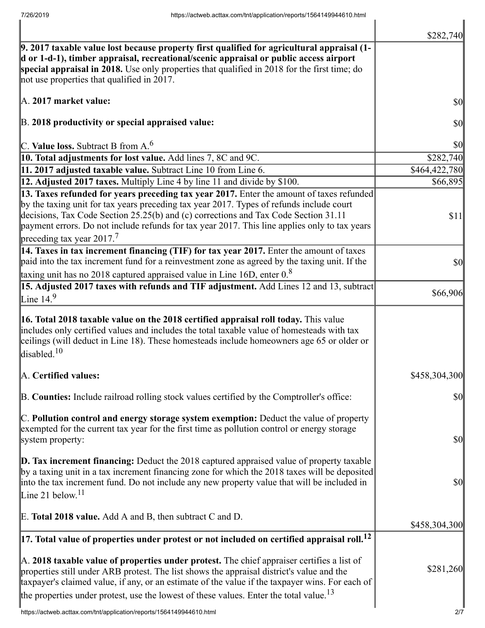|                                                                                                                                                                                                                                                                                                                                                                                                                          | \$282,740                           |
|--------------------------------------------------------------------------------------------------------------------------------------------------------------------------------------------------------------------------------------------------------------------------------------------------------------------------------------------------------------------------------------------------------------------------|-------------------------------------|
| 9. 2017 taxable value lost because property first qualified for agricultural appraisal (1-<br>d or 1-d-1), timber appraisal, recreational/scenic appraisal or public access airport<br>special appraisal in 2018. Use only properties that qualified in 2018 for the first time; do<br>not use properties that qualified in 2017.                                                                                        |                                     |
| A. 2017 market value:                                                                                                                                                                                                                                                                                                                                                                                                    | $\sqrt{50}$                         |
| B. 2018 productivity or special appraised value:                                                                                                                                                                                                                                                                                                                                                                         | \$0                                 |
| C. Value loss. Subtract B from $A6$                                                                                                                                                                                                                                                                                                                                                                                      | $\sqrt{50}$                         |
| 10. Total adjustments for lost value. Add lines 7, 8C and 9C.                                                                                                                                                                                                                                                                                                                                                            | \$282,740                           |
| 11. 2017 adjusted taxable value. Subtract Line 10 from Line 6.                                                                                                                                                                                                                                                                                                                                                           | \$464,422,780                       |
| 12. Adjusted 2017 taxes. Multiply Line 4 by line 11 and divide by \$100.                                                                                                                                                                                                                                                                                                                                                 | \$66,895                            |
| 13. Taxes refunded for years preceding tax year 2017. Enter the amount of taxes refunded<br>by the taxing unit for tax years preceding tax year 2017. Types of refunds include court<br>decisions, Tax Code Section 25.25(b) and (c) corrections and Tax Code Section 31.11<br>payment errors. Do not include refunds for tax year 2017. This line applies only to tax years<br>preceding tax year $2017$ . <sup>7</sup> | \$11                                |
| 14. Taxes in tax increment financing (TIF) for tax year 2017. Enter the amount of taxes<br>paid into the tax increment fund for a reinvestment zone as agreed by the taxing unit. If the<br>taxing unit has no 2018 captured appraised value in Line 16D, enter $0.8$                                                                                                                                                    | $\vert \mathcal{S}0 \vert$          |
| 15. Adjusted 2017 taxes with refunds and TIF adjustment. Add Lines 12 and 13, subtract                                                                                                                                                                                                                                                                                                                                   |                                     |
| Line $14.9$                                                                                                                                                                                                                                                                                                                                                                                                              | \$66,906                            |
| 16. Total 2018 taxable value on the 2018 certified appraisal roll today. This value<br>includes only certified values and includes the total taxable value of homesteads with tax<br>ceilings (will deduct in Line 18). These homesteads include homeowners age 65 or older or<br>disabled. $10$                                                                                                                         |                                     |
| A. Certified values:                                                                                                                                                                                                                                                                                                                                                                                                     | \$458,304,300                       |
| B. Counties: Include railroad rolling stock values certified by the Comptroller's office:                                                                                                                                                                                                                                                                                                                                | $\vert \$\text{O}\vert$             |
| C. Pollution control and energy storage system exemption: Deduct the value of property<br>exempted for the current tax year for the first time as pollution control or energy storage<br>system property:                                                                                                                                                                                                                | $\vert \mathbf{S} \mathbf{0} \vert$ |
| $\mathbf{D}$ . Tax increment financing: Deduct the 2018 captured appraised value of property taxable<br>by a taxing unit in a tax increment financing zone for which the 2018 taxes will be deposited<br>into the tax increment fund. Do not include any new property value that will be included in<br>Line 21 below. <sup>11</sup>                                                                                     | $\vert \mathbf{S} \mathbf{0} \vert$ |
| E. Total 2018 value. Add A and B, then subtract C and D.                                                                                                                                                                                                                                                                                                                                                                 | \$458,304,300                       |
| $\vert$ 17. Total value of properties under protest or not included on certified appraisal roll. $^{12}$                                                                                                                                                                                                                                                                                                                 |                                     |
| A. 2018 taxable value of properties under protest. The chief appraiser certifies a list of<br>properties still under ARB protest. The list shows the appraisal district's value and the<br>taxpayer's claimed value, if any, or an estimate of the value if the taxpayer wins. For each of<br>the properties under protest, use the lowest of these values. Enter the total value. <sup>13</sup>                         | \$281,260                           |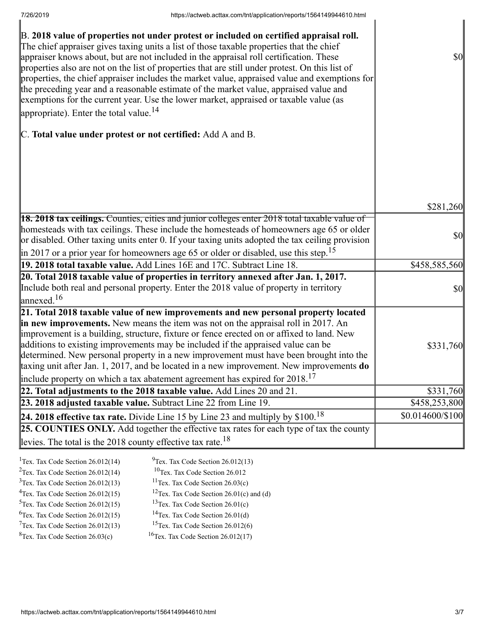| B. 2018 value of properties not under protest or included on certified appraisal roll.<br>The chief appraiser gives taxing units a list of those taxable properties that the chief<br>appraiser knows about, but are not included in the appraisal roll certification. These<br>properties also are not on the list of properties that are still under protest. On this list of<br>properties, the chief appraiser includes the market value, appraised value and exemptions for<br>the preceding year and a reasonable estimate of the market value, appraised value and<br>exemptions for the current year. Use the lower market, appraised or taxable value (as<br>appropriate). Enter the total value. $^{14}$ | $\sqrt{50}$                         |
|--------------------------------------------------------------------------------------------------------------------------------------------------------------------------------------------------------------------------------------------------------------------------------------------------------------------------------------------------------------------------------------------------------------------------------------------------------------------------------------------------------------------------------------------------------------------------------------------------------------------------------------------------------------------------------------------------------------------|-------------------------------------|
| C. Total value under protest or not certified: Add A and B.                                                                                                                                                                                                                                                                                                                                                                                                                                                                                                                                                                                                                                                        |                                     |
|                                                                                                                                                                                                                                                                                                                                                                                                                                                                                                                                                                                                                                                                                                                    |                                     |
|                                                                                                                                                                                                                                                                                                                                                                                                                                                                                                                                                                                                                                                                                                                    | \$281,260                           |
| <b>18. 2018 tax ceilings.</b> Counties, cities and junior colleges enter 2018 total taxable value of<br>homesteads with tax ceilings. These include the homesteads of homeowners age 65 or older<br>or disabled. Other taxing units enter 0. If your taxing units adopted the tax ceiling provision<br>$\parallel$ in 2017 or a prior year for homeowners age 65 or older or disabled, use this step. <sup>15</sup>                                                                                                                                                                                                                                                                                                | $\vert \mathbf{S} \mathbf{0} \vert$ |
| 19. 2018 total taxable value. Add Lines 16E and 17C. Subtract Line 18.                                                                                                                                                                                                                                                                                                                                                                                                                                                                                                                                                                                                                                             | \$458,585,560                       |
| 20. Total 2018 taxable value of properties in territory annexed after Jan. 1, 2017.<br>Include both real and personal property. Enter the 2018 value of property in territory<br>$\lvert$ annexed. <sup>16</sup>                                                                                                                                                                                                                                                                                                                                                                                                                                                                                                   | $\vert \$\text{O}\vert$             |
| 21. Total 2018 taxable value of new improvements and new personal property located<br>in new improvements. New means the item was not on the appraisal roll in 2017. An<br>improvement is a building, structure, fixture or fence erected on or affixed to land. New<br>additions to existing improvements may be included if the appraised value can be<br>determined. New personal property in a new improvement must have been brought into the<br>taxing unit after Jan. 1, 2017, and be located in a new improvement. New improvements do<br>include property on which a tax abatement agreement has expired for $2018$ . <sup>17</sup>                                                                       | \$331,760                           |
| 22. Total adjustments to the 2018 taxable value. Add Lines 20 and 21.                                                                                                                                                                                                                                                                                                                                                                                                                                                                                                                                                                                                                                              | \$331,760                           |
| 23. 2018 adjusted taxable value. Subtract Line 22 from Line 19.                                                                                                                                                                                                                                                                                                                                                                                                                                                                                                                                                                                                                                                    | \$458,253,800                       |
| 24. 2018 effective tax rate. Divide Line 15 by Line 23 and multiply by $$100.18$                                                                                                                                                                                                                                                                                                                                                                                                                                                                                                                                                                                                                                   | \$0.014600/\$100                    |
| 25. COUNTIES ONLY. Add together the effective tax rates for each type of tax the county                                                                                                                                                                                                                                                                                                                                                                                                                                                                                                                                                                                                                            |                                     |
| levies. The total is the 2018 county effective tax rate. <sup>18</sup>                                                                                                                                                                                                                                                                                                                                                                                                                                                                                                                                                                                                                                             |                                     |

| <sup>1</sup> Tex. Tax Code Section $26.012(14)$ | $^{9}$ Tex. Tax Code Section 26.012(13)                |
|-------------------------------------------------|--------------------------------------------------------|
| $2$ Tex. Tax Code Section 26.012(14)            | <sup>10</sup> Tex. Tax Code Section 26.012             |
| $3$ Tex. Tax Code Section 26.012(13)            | <sup>11</sup> Tex. Tax Code Section $26.03(c)$         |
| $4$ Tex. Tax Code Section 26.012(15)            | <sup>12</sup> Tex. Tax Code Section $26.01(c)$ and (d) |
| $5$ Tex. Tax Code Section 26.012(15)            | <sup>13</sup> Tex. Tax Code Section $26.01(c)$         |
| ${}^{6}$ Tex. Tax Code Section 26.012(15)       | <sup>14</sup> Tex. Tax Code Section $26.01(d)$         |
| $7$ Tex. Tax Code Section 26.012(13)            | <sup>15</sup> Tex. Tax Code Section $26.012(6)$        |
| ${}^{8}$ Tex. Tax Code Section 26.03(c)         | <sup>16</sup> Tex. Tax Code Section $26.012(17)$       |
|                                                 |                                                        |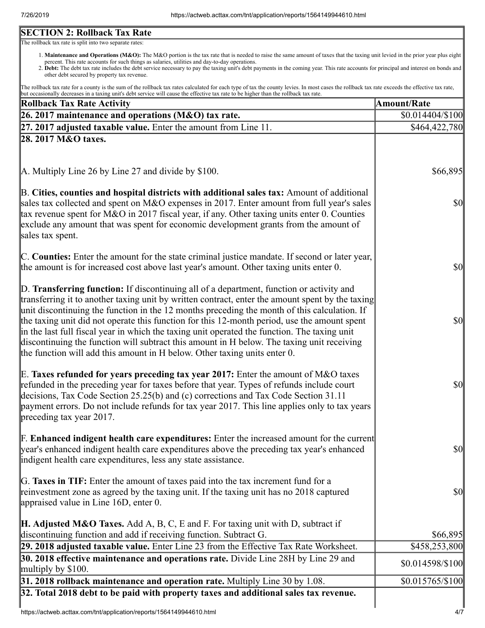# **SECTION 2: Rollback Tax Rate**

The rollback tax rate is split into two separate rates:

- 1. Maintenance and Operations (M&O): The M&O portion is the tax rate that is needed to raise the same amount of taxes that the taxing unit levied in the prior year plus eight percent. This rate accounts for such things as salaries, utilities and day-to-day operations.
- 2. Debt: The debt tax rate includes the debt service necessary to pay the taxing unit's debt payments in the coming year. This rate accounts for principal and interest on bonds and other debt secured by property tax revenue.

The rollback tax rate for a county is the sum of the rollback tax rates calculated for each type of tax the county levies. In most cases the rollback tax rate exceeds the effective tax rate, but occasionally decreases in a taxing unit's debt service will cause the effective tax rate to be higher than the rollback tax rate.

| <b>Rollback Tax Rate Activity</b>                                                                                                                                                                                                                                                                                                                                                                                                                                                                                                                                                                                                                                       | <b>Amount/Rate</b>                |
|-------------------------------------------------------------------------------------------------------------------------------------------------------------------------------------------------------------------------------------------------------------------------------------------------------------------------------------------------------------------------------------------------------------------------------------------------------------------------------------------------------------------------------------------------------------------------------------------------------------------------------------------------------------------------|-----------------------------------|
| 26. 2017 maintenance and operations (M&O) tax rate.                                                                                                                                                                                                                                                                                                                                                                                                                                                                                                                                                                                                                     | $$0.014404\%100$                  |
| $27.2017$ adjusted taxable value. Enter the amount from Line 11.                                                                                                                                                                                                                                                                                                                                                                                                                                                                                                                                                                                                        | \$464,422,780                     |
| 28. 2017 M&O taxes.                                                                                                                                                                                                                                                                                                                                                                                                                                                                                                                                                                                                                                                     |                                   |
| $\mathbf{A}$ . Multiply Line 26 by Line 27 and divide by \$100.                                                                                                                                                                                                                                                                                                                                                                                                                                                                                                                                                                                                         | \$66,895                          |
| B. Cities, counties and hospital districts with additional sales tax: Amount of additional<br>sales tax collected and spent on M&O expenses in 2017. Enter amount from full year's sales<br>tax revenue spent for M&O in 2017 fiscal year, if any. Other taxing units enter 0. Counties<br>exclude any amount that was spent for economic development grants from the amount of<br>sales tax spent.                                                                                                                                                                                                                                                                     | <b>\$0</b>                        |
| C. Counties: Enter the amount for the state criminal justice mandate. If second or later year,<br>the amount is for increased cost above last year's amount. Other taxing units enter 0.                                                                                                                                                                                                                                                                                                                                                                                                                                                                                | $\frac{1}{2}$                     |
| D. Transferring function: If discontinuing all of a department, function or activity and<br>transferring it to another taxing unit by written contract, enter the amount spent by the taxing<br>unit discontinuing the function in the 12 months preceding the month of this calculation. If<br>the taxing unit did not operate this function for this 12-month period, use the amount spent<br>in the last full fiscal year in which the taxing unit operated the function. The taxing unit<br>discontinuing the function will subtract this amount in H below. The taxing unit receiving<br>the function will add this amount in H below. Other taxing units enter 0. | $\frac{1}{2}$                     |
| E. Taxes refunded for years preceding tax year 2017: Enter the amount of M&O taxes<br>refunded in the preceding year for taxes before that year. Types of refunds include court<br>decisions, Tax Code Section 25.25(b) and (c) corrections and Tax Code Section 31.11<br>payment errors. Do not include refunds for tax year 2017. This line applies only to tax years<br>preceding tax year 2017.                                                                                                                                                                                                                                                                     | $\frac{1}{2}$                     |
| <b>F. Enhanced indigent health care expenditures:</b> Enter the increased amount for the current<br>year's enhanced indigent health care expenditures above the preceding tax year's enhanced<br>indigent health care expenditures, less any state assistance.                                                                                                                                                                                                                                                                                                                                                                                                          | <b>\$0</b>                        |
| G. Taxes in TIF: Enter the amount of taxes paid into the tax increment fund for a<br>reinvestment zone as agreed by the taxing unit. If the taxing unit has no 2018 captured<br>appraised value in Line 16D, enter 0.                                                                                                                                                                                                                                                                                                                                                                                                                                                   | <b>\$0</b>                        |
| <b>H. Adjusted M&amp;O Taxes.</b> Add A, B, C, E and F. For taxing unit with D, subtract if<br>discontinuing function and add if receiving function. Subtract G.                                                                                                                                                                                                                                                                                                                                                                                                                                                                                                        | \$66,895                          |
| 29. 2018 adjusted taxable value. Enter Line 23 from the Effective Tax Rate Worksheet.<br>30. 2018 effective maintenance and operations rate. Divide Line 28H by Line 29 and<br>multiply by $$100$ .                                                                                                                                                                                                                                                                                                                                                                                                                                                                     | \$458,253,800<br>\$0.014598/\$100 |
| $31.2018$ rollback maintenance and operation rate. Multiply Line 30 by 1.08.                                                                                                                                                                                                                                                                                                                                                                                                                                                                                                                                                                                            | $$0.015765/\$100$                 |
| 32. Total 2018 debt to be paid with property taxes and additional sales tax revenue.                                                                                                                                                                                                                                                                                                                                                                                                                                                                                                                                                                                    |                                   |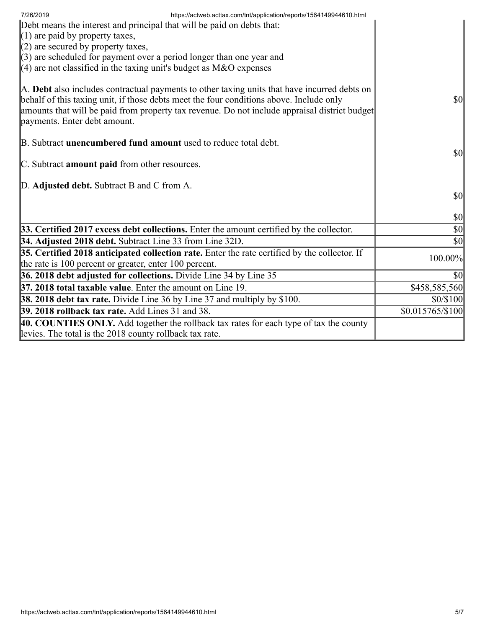| https://actweb.acttax.com/tnt/application/reports/1564149944610.html<br>7/26/2019<br>Debt means the interest and principal that will be paid on debts that:<br>$(1)$ are paid by property taxes,<br>$(2)$ are secured by property taxes,<br>$(3)$ are scheduled for payment over a period longer than one year and<br>$(4)$ are not classified in the taxing unit's budget as M&O expenses |                                     |
|--------------------------------------------------------------------------------------------------------------------------------------------------------------------------------------------------------------------------------------------------------------------------------------------------------------------------------------------------------------------------------------------|-------------------------------------|
| A. Debt also includes contractual payments to other taxing units that have incurred debts on<br>behalf of this taxing unit, if those debts meet the four conditions above. Include only<br>amounts that will be paid from property tax revenue. Do not include appraisal district budget<br>payments. Enter debt amount.                                                                   | <b>\$0</b>                          |
| B. Subtract <b>unencumbered fund amount</b> used to reduce total debt.<br>C. Subtract amount paid from other resources.                                                                                                                                                                                                                                                                    | $\vert \mathbf{S} \mathbf{O} \vert$ |
| D. Adjusted debt. Subtract B and C from A.                                                                                                                                                                                                                                                                                                                                                 | <b>\$0</b>                          |
|                                                                                                                                                                                                                                                                                                                                                                                            | $\vert \mathbf{S} \mathbf{0} \vert$ |
| 33. Certified 2017 excess debt collections. Enter the amount certified by the collector.                                                                                                                                                                                                                                                                                                   | $\vert \$\text{0}\vert$             |
| 34. Adjusted 2018 debt. Subtract Line 33 from Line 32D.                                                                                                                                                                                                                                                                                                                                    | $ 10\rangle$                        |
| 35. Certified 2018 anticipated collection rate. Enter the rate certified by the collector. If<br>the rate is 100 percent or greater, enter 100 percent.                                                                                                                                                                                                                                    | 100.00%                             |
| 36. 2018 debt adjusted for collections. Divide Line 34 by Line 35                                                                                                                                                                                                                                                                                                                          | \$0                                 |
| 37. 2018 total taxable value. Enter the amount on Line 19.                                                                                                                                                                                                                                                                                                                                 | \$458,585,560                       |
| [38. 2018 debt tax rate. Divide Line 36 by Line 37 and multiply by \$100.                                                                                                                                                                                                                                                                                                                  | \$0/\$100                           |
| <b>39. 2018 rollback tax rate.</b> Add Lines 31 and 38.                                                                                                                                                                                                                                                                                                                                    | \$0.015765/\$100                    |
| 40. COUNTIES ONLY. Add together the rollback tax rates for each type of tax the county<br>levies. The total is the 2018 county rollback tax rate.                                                                                                                                                                                                                                          |                                     |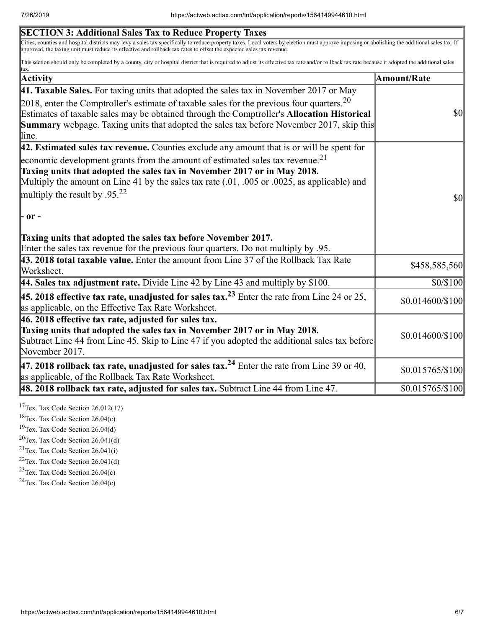| <b>SECTION 3: Additional Sales Tax to Reduce Property Taxes</b>                                                                                                                                                                                                                                                       |                                        |
|-----------------------------------------------------------------------------------------------------------------------------------------------------------------------------------------------------------------------------------------------------------------------------------------------------------------------|----------------------------------------|
| Cities, counties and hospital districts may levy a sales tax specifically to reduce property taxes. Local voters by election must approve imposing or abolishing the additional sales tax. If<br>approved, the taxing unit must reduce its effective and rollback tax rates to offset the expected sales tax revenue. |                                        |
| This section should only be completed by a county, city or hospital district that is required to adjust its effective tax rate and/or rollback tax rate because it adopted the additional sales<br>tax.                                                                                                               |                                        |
| Activity                                                                                                                                                                                                                                                                                                              | <b>Amount/Rate</b>                     |
| 41. Taxable Sales. For taxing units that adopted the sales tax in November 2017 or May                                                                                                                                                                                                                                |                                        |
| 2018, enter the Comptroller's estimate of taxable sales for the previous four quarters. $20$                                                                                                                                                                                                                          |                                        |
| Estimates of taxable sales may be obtained through the Comptroller's Allocation Historical                                                                                                                                                                                                                            | <b>\$0</b>                             |
| <b>Summary</b> webpage. Taxing units that adopted the sales tax before November 2017, skip this<br>line.                                                                                                                                                                                                              |                                        |
| 42. Estimated sales tax revenue. Counties exclude any amount that is or will be spent for                                                                                                                                                                                                                             |                                        |
| economic development grants from the amount of estimated sales tax revenue. <sup>21</sup>                                                                                                                                                                                                                             |                                        |
| Taxing units that adopted the sales tax in November 2017 or in May 2018.                                                                                                                                                                                                                                              |                                        |
| Multiply the amount on Line 41 by the sales tax rate $(.01, .005)$ or $.0025$ , as applicable) and                                                                                                                                                                                                                    |                                        |
| multiply the result by .95. <sup>22</sup>                                                                                                                                                                                                                                                                             | $\boldsymbol{\mathsf{S}}$ <sub>0</sub> |
|                                                                                                                                                                                                                                                                                                                       |                                        |
| - or -                                                                                                                                                                                                                                                                                                                |                                        |
| Taxing units that adopted the sales tax before November 2017.                                                                                                                                                                                                                                                         |                                        |
| Enter the sales tax revenue for the previous four quarters. Do not multiply by .95.                                                                                                                                                                                                                                   |                                        |
| 43. 2018 total taxable value. Enter the amount from Line 37 of the Rollback Tax Rate                                                                                                                                                                                                                                  |                                        |
| Worksheet.                                                                                                                                                                                                                                                                                                            | \$458,585,560                          |
| 44. Sales tax adjustment rate. Divide Line 42 by Line 43 and multiply by $$100$ .                                                                                                                                                                                                                                     | \$0/\$100                              |
| <b>45. 2018 effective tax rate, unadjusted for sales tax.</b> <sup>23</sup> Enter the rate from Line 24 or 25,<br>as applicable, on the Effective Tax Rate Worksheet.                                                                                                                                                 | \$0.014600/\$100                       |
| 46. 2018 effective tax rate, adjusted for sales tax.                                                                                                                                                                                                                                                                  |                                        |
| Taxing units that adopted the sales tax in November 2017 or in May 2018.                                                                                                                                                                                                                                              | \$0.014600/\$100                       |
| Subtract Line 44 from Line 45. Skip to Line 47 if you adopted the additional sales tax before                                                                                                                                                                                                                         |                                        |
| November 2017.                                                                                                                                                                                                                                                                                                        |                                        |
| 47. 2018 rollback tax rate, unadjusted for sales tax. <sup>24</sup> Enter the rate from Line 39 or 40,<br>as applicable, of the Rollback Tax Rate Worksheet.                                                                                                                                                          | \$0.015765/\$100                       |
| 48. 2018 rollback tax rate, adjusted for sales tax. Subtract Line 44 from Line 47.                                                                                                                                                                                                                                    | \$0.015765/\$100                       |
|                                                                                                                                                                                                                                                                                                                       |                                        |

 $17$ Tex. Tax Code Section 26.012(17)

<sup>18</sup>Tex. Tax Code Section 26.04(c)

<sup>19</sup>Tex. Tax Code Section 26.04(d)

 $20$ Tex. Tax Code Section 26.041(d)

 $21$ Tex. Tax Code Section 26.041(i)

 $22$ Tex. Tax Code Section 26.041(d)

 $23$ Tex. Tax Code Section 26.04(c)

 $24$ Tex. Tax Code Section 26.04(c)